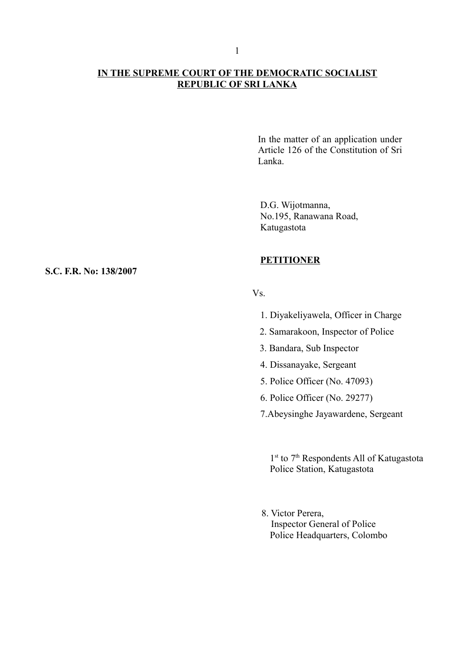# **IN THE SUPREME COURT OF THE DEMOCRATIC SOCIALIST REPUBLIC OF SRI LANKA**

In the matter of an application under Article 126 of the Constitution of Sri Lanka.

D.G. Wijotmanna, No.195, Ranawana Road, Katugastota

# **PETITIONER**

### $V_S$

- 1. Diyakeliyawela, Officer in Charge
- 2. Samarakoon, Inspector of Police
- 3. Bandara, Sub Inspector
- 4. Dissanayake, Sergeant
- 5. Police Officer (No. 47093)
- 6. Police Officer (No. 29277)
- 7.Abeysinghe Jayawardene, Sergeant

1<sup>st</sup> to 7<sup>th</sup> Respondents All of Katugastota Police Station, Katugastota

8. Victor Perera, Inspector General of Police Police Headquarters, Colombo

#### **S.C. F.R. No: 138/2007**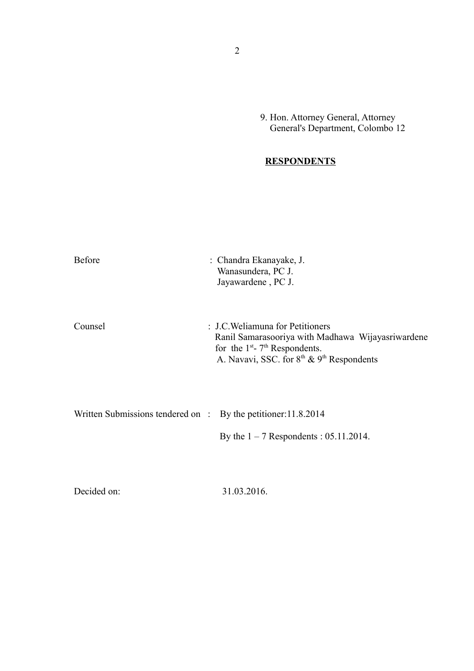9. Hon. Attorney General, Attorney General's Department, Colombo 12

# **RESPONDENTS**

| <b>Before</b>                                                             | : Chandra Ekanayake, J.<br>Wanasundera, PC J.<br>Jayawardene, PC J.                                                                                                                                        |
|---------------------------------------------------------------------------|------------------------------------------------------------------------------------------------------------------------------------------------------------------------------------------------------------|
| Counsel                                                                   | : J.C. Weliamuna for Petitioners<br>Ranil Samarasooriya with Madhawa Wijayasriwardene<br>for the $1st$ - 7 <sup>th</sup> Respondents.<br>A. Navavi, SSC. for 8 <sup>th</sup> & 9 <sup>th</sup> Respondents |
| Written Submissions tendered on $\therefore$ By the petitioner: 11.8.2014 | By the $1 - 7$ Respondents : 05.11.2014.                                                                                                                                                                   |
| Decided on:                                                               | 31.03.2016.                                                                                                                                                                                                |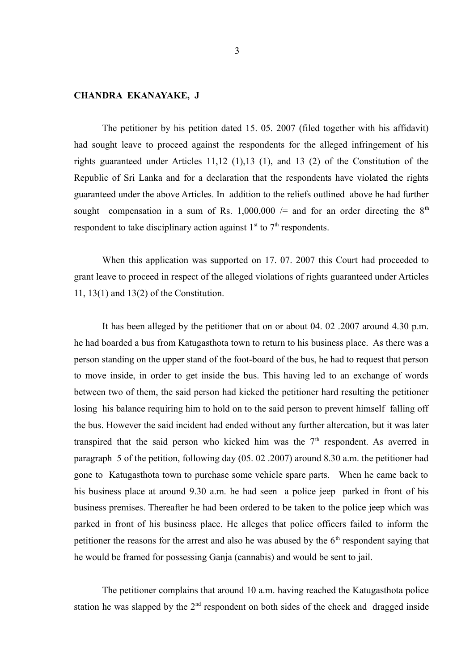# **CHANDRA EKANAYAKE, J**

The petitioner by his petition dated 15. 05. 2007 (filed together with his affidavit) had sought leave to proceed against the respondents for the alleged infringement of his rights guaranteed under Articles 11,12 (1),13 (1), and 13 (2) of the Constitution of the Republic of Sri Lanka and for a declaration that the respondents have violated the rights guaranteed under the above Articles. In addition to the reliefs outlined above he had further sought compensation in a sum of Rs. 1,000,000  $/=$  and for an order directing the  $8<sup>th</sup>$ respondent to take disciplinary action against  $1<sup>st</sup>$  to  $7<sup>th</sup>$  respondents.

When this application was supported on 17. 07. 2007 this Court had proceeded to grant leave to proceed in respect of the alleged violations of rights guaranteed under Articles 11, 13(1) and 13(2) of the Constitution.

It has been alleged by the petitioner that on or about 04. 02 .2007 around 4.30 p.m. he had boarded a bus from Katugasthota town to return to his business place. As there was a person standing on the upper stand of the foot-board of the bus, he had to request that person to move inside, in order to get inside the bus. This having led to an exchange of words between two of them, the said person had kicked the petitioner hard resulting the petitioner losing his balance requiring him to hold on to the said person to prevent himself falling off the bus. However the said incident had ended without any further altercation, but it was later transpired that the said person who kicked him was the  $7<sup>th</sup>$  respondent. As averred in paragraph 5 of the petition, following day (05. 02 .2007) around 8.30 a.m. the petitioner had gone to Katugasthota town to purchase some vehicle spare parts. When he came back to his business place at around 9.30 a.m. he had seen a police jeep parked in front of his business premises. Thereafter he had been ordered to be taken to the police jeep which was parked in front of his business place. He alleges that police officers failed to inform the petitioner the reasons for the arrest and also he was abused by the  $6<sup>th</sup>$  respondent saying that he would be framed for possessing Ganja (cannabis) and would be sent to jail.

The petitioner complains that around 10 a.m. having reached the Katugasthota police station he was slapped by the  $2<sup>nd</sup>$  respondent on both sides of the cheek and dragged inside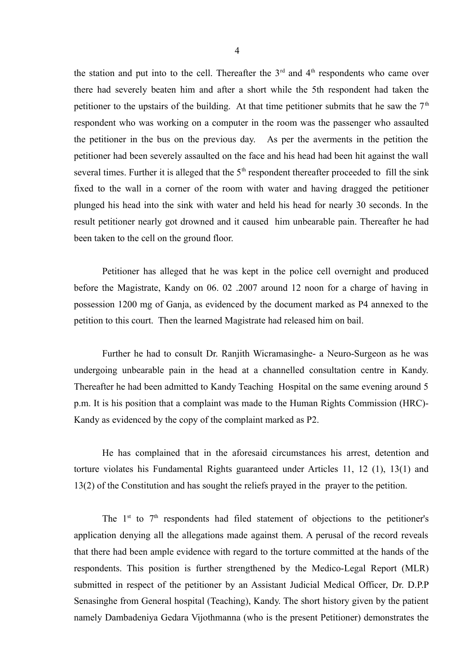the station and put into to the cell. Thereafter the  $3<sup>rd</sup>$  and  $4<sup>th</sup>$  respondents who came over there had severely beaten him and after a short while the 5th respondent had taken the petitioner to the upstairs of the building. At that time petitioner submits that he saw the  $7<sup>th</sup>$ respondent who was working on a computer in the room was the passenger who assaulted the petitioner in the bus on the previous day. As per the averments in the petition the petitioner had been severely assaulted on the face and his head had been hit against the wall several times. Further it is alleged that the  $5<sup>th</sup>$  respondent thereafter proceeded to fill the sink fixed to the wall in a corner of the room with water and having dragged the petitioner plunged his head into the sink with water and held his head for nearly 30 seconds. In the result petitioner nearly got drowned and it caused him unbearable pain. Thereafter he had been taken to the cell on the ground floor.

Petitioner has alleged that he was kept in the police cell overnight and produced before the Magistrate, Kandy on 06. 02 .2007 around 12 noon for a charge of having in possession 1200 mg of Ganja, as evidenced by the document marked as P4 annexed to the petition to this court. Then the learned Magistrate had released him on bail.

Further he had to consult Dr. Ranjith Wicramasinghe- a Neuro-Surgeon as he was undergoing unbearable pain in the head at a channelled consultation centre in Kandy. Thereafter he had been admitted to Kandy Teaching Hospital on the same evening around 5 p.m. It is his position that a complaint was made to the Human Rights Commission (HRC)- Kandy as evidenced by the copy of the complaint marked as P2.

He has complained that in the aforesaid circumstances his arrest, detention and torture violates his Fundamental Rights guaranteed under Articles 11, 12 (1), 13(1) and 13(2) of the Constitution and has sought the reliefs prayed in the prayer to the petition.

The  $1<sup>st</sup>$  to  $7<sup>th</sup>$  respondents had filed statement of objections to the petitioner's application denying all the allegations made against them. A perusal of the record reveals that there had been ample evidence with regard to the torture committed at the hands of the respondents. This position is further strengthened by the Medico-Legal Report (MLR) submitted in respect of the petitioner by an Assistant Judicial Medical Officer, Dr. D.P.P Senasinghe from General hospital (Teaching), Kandy. The short history given by the patient namely Dambadeniya Gedara Vijothmanna (who is the present Petitioner) demonstrates the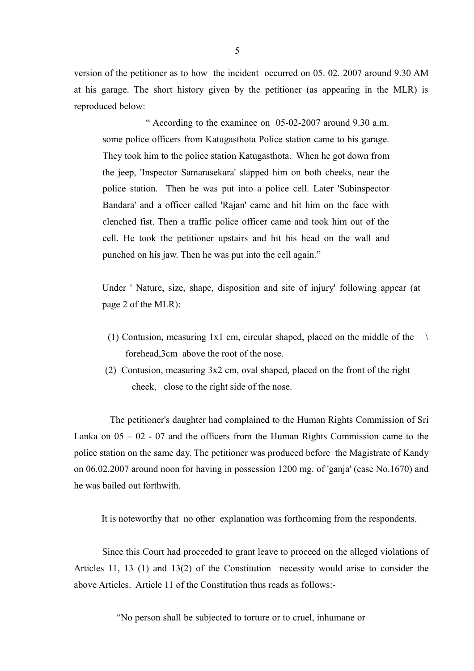version of the petitioner as to how the incident occurred on 05. 02. 2007 around 9.30 AM at his garage. The short history given by the petitioner (as appearing in the MLR) is reproduced below:

 " According to the examinee on 05-02-2007 around 9.30 a.m. some police officers from Katugasthota Police station came to his garage. They took him to the police station Katugasthota. When he got down from the jeep, 'Inspector Samarasekara' slapped him on both cheeks, near the police station. Then he was put into a police cell. Later 'Subinspector Bandara' and a officer called 'Rajan' came and hit him on the face with clenched fist. Then a traffic police officer came and took him out of the cell. He took the petitioner upstairs and hit his head on the wall and punched on his jaw. Then he was put into the cell again."

Under ' Nature, size, shape, disposition and site of injury' following appear (at page 2 of the MLR):

- (1) Contusion, measuring 1x1 cm, circular shaped, placed on the middle of the  $\lambda$ forehead,3cm above the root of the nose.
- (2) Contusion, measuring 3x2 cm, oval shaped, placed on the front of the right cheek, close to the right side of the nose.

 The petitioner's daughter had complained to the Human Rights Commission of Sri Lanka on  $05 - 02 - 07$  and the officers from the Human Rights Commission came to the police station on the same day. The petitioner was produced before the Magistrate of Kandy on 06.02.2007 around noon for having in possession 1200 mg. of 'ganja' (case No.1670) and he was bailed out forthwith.

It is noteworthy that no other explanation was forthcoming from the respondents.

Since this Court had proceeded to grant leave to proceed on the alleged violations of Articles 11, 13 (1) and 13(2) of the Constitution necessity would arise to consider the above Articles. Article 11 of the Constitution thus reads as follows:-

"No person shall be subjected to torture or to cruel, inhumane or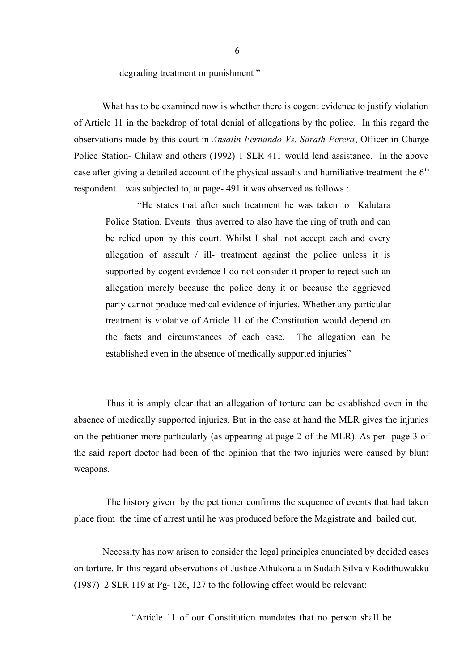degrading treatment or punishment "

What has to be examined now is whether there is cogent evidence to justify violation of Article 11 in the backdrop of total denial of allegations by the police. In this regard the observations made by this court in *Ansalin Fernando Vs. Sarath Perera*, Officer in Charge Police Station- Chilaw and others (1992) 1 SLR 411 would lend assistance. In the above case after giving a detailed account of the physical assaults and humiliative treatment the  $6<sup>th</sup>$ respondent was subjected to, at page- 491 it was observed as follows :

 "He states that after such treatment he was taken to Kalutara Police Station. Events thus averred to also have the ring of truth and can be relied upon by this court. Whilst I shall not accept each and every allegation of assault / ill- treatment against the police unless it is supported by cogent evidence I do not consider it proper to reject such an allegation merely because the police deny it or because the aggrieved party cannot produce medical evidence of injuries. Whether any particular treatment is violative of Article 11 of the Constitution would depend on the facts and circumstances of each case. The allegation can be established even in the absence of medically supported injuries"

 Thus it is amply clear that an allegation of torture can be established even in the absence of medically supported injuries. But in the case at hand the MLR gives the injuries on the petitioner more particularly (as appearing at page 2 of the MLR). As per page 3 of the said report doctor had been of the opinion that the two injuries were caused by blunt weapons.

 The history given by the petitioner confirms the sequence of events that had taken place from the time of arrest until he was produced before the Magistrate and bailed out.

 Necessity has now arisen to consider the legal principles enunciated by decided cases on torture. In this regard observations of Justice Athukorala in Sudath Silva v Kodithuwakku (1987) 2 SLR 119 at Pg- 126, 127 to the following effect would be relevant:

"Article 11 of our Constitution mandates that no person shall be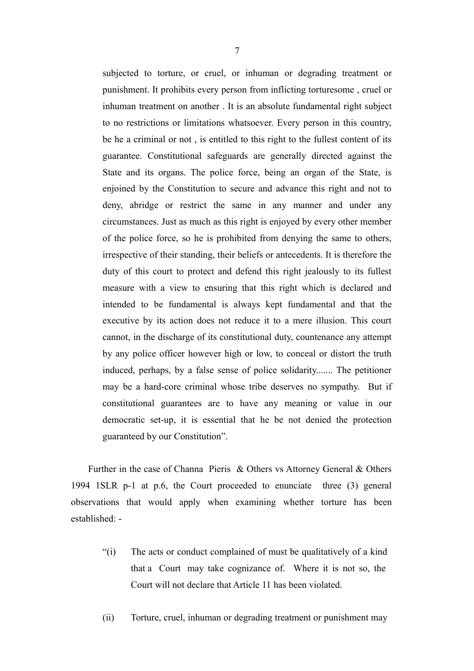subjected to torture, or cruel, or inhuman or degrading treatment or punishment. It prohibits every person from inflicting torturesome , cruel or inhuman treatment on another . It is an absolute fundamental right subject to no restrictions or limitations whatsoever. Every person in this country, be he a criminal or not , is entitled to this right to the fullest content of its guarantee. Constitutional safeguards are generally directed against the State and its organs. The police force, being an organ of the State, is enjoined by the Constitution to secure and advance this right and not to deny, abridge or restrict the same in any manner and under any circumstances. Just as much as this right is enjoyed by every other member of the police force, so he is prohibited from denying the same to others, irrespective of their standing, their beliefs or antecedents. It is therefore the duty of this court to protect and defend this right jealously to its fullest measure with a view to ensuring that this right which is declared and intended to be fundamental is always kept fundamental and that the executive by its action does not reduce it to a mere illusion. This court cannot, in the discharge of its constitutional duty, countenance any attempt by any police officer however high or low, to conceal or distort the truth induced, perhaps, by a false sense of police solidarity....... The petitioner may be a hard-core criminal whose tribe deserves no sympathy. But if constitutional guarantees are to have any meaning or value in our democratic set-up, it is essential that he be not denied the protection guaranteed by our Constitution".

 Further in the case of Channa Pieris & Others vs Attorney General & Others 1994 1SLR p-1 at p.6, the Court proceeded to enunciate three (3) general observations that would apply when examining whether torture has been established: -

- "(i) The acts or conduct complained of must be qualitatively of a kind that a Court may take cognizance of. Where it is not so, the Court will not declare that Article 11 has been violated.
- (ii) Torture, cruel, inhuman or degrading treatment or punishment may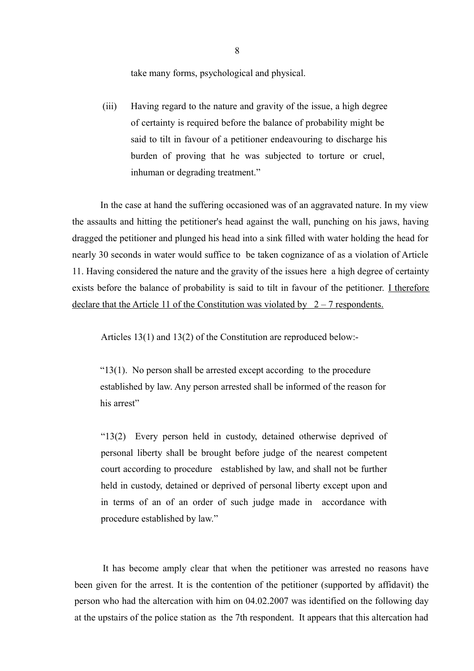take many forms, psychological and physical.

(iii) Having regard to the nature and gravity of the issue, a high degree of certainty is required before the balance of probability might be said to tilt in favour of a petitioner endeavouring to discharge his burden of proving that he was subjected to torture or cruel, inhuman or degrading treatment."

In the case at hand the suffering occasioned was of an aggravated nature. In my view the assaults and hitting the petitioner's head against the wall, punching on his jaws, having dragged the petitioner and plunged his head into a sink filled with water holding the head for nearly 30 seconds in water would suffice to be taken cognizance of as a violation of Article 11. Having considered the nature and the gravity of the issues here a high degree of certainty exists before the balance of probability is said to tilt in favour of the petitioner. I therefore declare that the Article 11 of the Constitution was violated by  $2 - 7$  respondents.

Articles 13(1) and 13(2) of the Constitution are reproduced below:-

" $13(1)$ . No person shall be arrested except according to the procedure established by law. Any person arrested shall be informed of the reason for his arrest"

"13(2) Every person held in custody, detained otherwise deprived of personal liberty shall be brought before judge of the nearest competent court according to procedure established by law, and shall not be further held in custody, detained or deprived of personal liberty except upon and in terms of an of an order of such judge made in accordance with procedure established by law."

It has become amply clear that when the petitioner was arrested no reasons have been given for the arrest. It is the contention of the petitioner (supported by affidavit) the person who had the altercation with him on 04.02.2007 was identified on the following day at the upstairs of the police station as the 7th respondent. It appears that this altercation had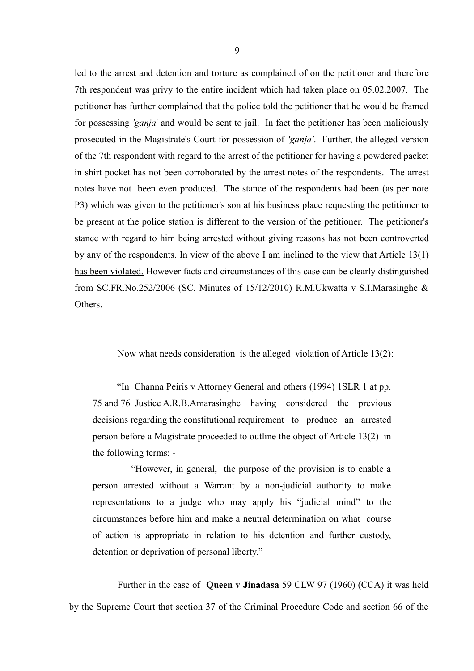led to the arrest and detention and torture as complained of on the petitioner and therefore 7th respondent was privy to the entire incident which had taken place on 05.02.2007. The petitioner has further complained that the police told the petitioner that he would be framed for possessing *'ganja*' and would be sent to jail. In fact the petitioner has been maliciously prosecuted in the Magistrate's Court for possession of *'ganja'*. Further, the alleged version of the 7th respondent with regard to the arrest of the petitioner for having a powdered packet in shirt pocket has not been corroborated by the arrest notes of the respondents. The arrest notes have not been even produced. The stance of the respondents had been (as per note P3) which was given to the petitioner's son at his business place requesting the petitioner to be present at the police station is different to the version of the petitioner. The petitioner's stance with regard to him being arrested without giving reasons has not been controverted by any of the respondents. In view of the above I am inclined to the view that Article 13(1) has been violated. However facts and circumstances of this case can be clearly distinguished from SC.FR.No.252/2006 (SC. Minutes of 15/12/2010) R.M.Ukwatta v S.I.Marasinghe & **Others** 

Now what needs consideration is the alleged violation of Article 13(2):

"In Channa Peiris v Attorney General and others (1994) 1SLR 1 at pp. 75 and 76 Justice A.R.B.Amarasinghe having considered the previous decisions regarding the constitutional requirement to produce an arrested person before a Magistrate proceeded to outline the object of Article 13(2) in the following terms: -

 "However, in general, the purpose of the provision is to enable a person arrested without a Warrant by a non-judicial authority to make representations to a judge who may apply his "judicial mind" to the circumstances before him and make a neutral determination on what course of action is appropriate in relation to his detention and further custody, detention or deprivation of personal liberty."

 Further in the case of **Queen v Jinadasa** 59 CLW 97 (1960) (CCA) it was held by the Supreme Court that section 37 of the Criminal Procedure Code and section 66 of the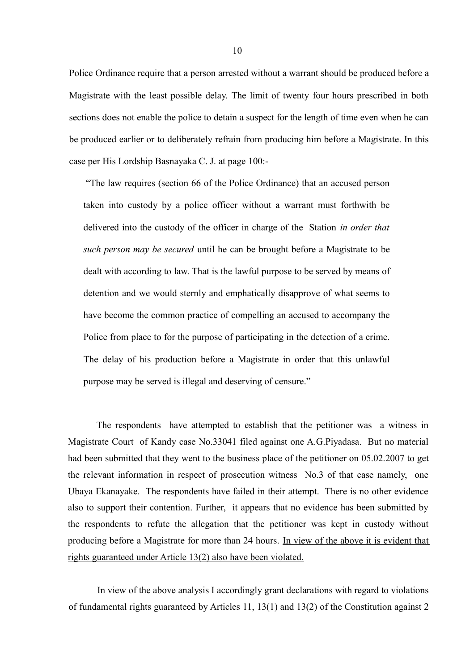Police Ordinance require that a person arrested without a warrant should be produced before a Magistrate with the least possible delay. The limit of twenty four hours prescribed in both sections does not enable the police to detain a suspect for the length of time even when he can be produced earlier or to deliberately refrain from producing him before a Magistrate. In this case per His Lordship Basnayaka C. J. at page 100:-

"The law requires (section 66 of the Police Ordinance) that an accused person taken into custody by a police officer without a warrant must forthwith be delivered into the custody of the officer in charge of the Station *in order that such person may be secured* until he can be brought before a Magistrate to be dealt with according to law. That is the lawful purpose to be served by means of detention and we would sternly and emphatically disapprove of what seems to have become the common practice of compelling an accused to accompany the Police from place to for the purpose of participating in the detection of a crime. The delay of his production before a Magistrate in order that this unlawful purpose may be served is illegal and deserving of censure."

 The respondents have attempted to establish that the petitioner was a witness in Magistrate Court of Kandy case No.33041 filed against one A.G.Piyadasa. But no material had been submitted that they went to the business place of the petitioner on 05.02.2007 to get the relevant information in respect of prosecution witness No.3 of that case namely, one Ubaya Ekanayake. The respondents have failed in their attempt. There is no other evidence also to support their contention. Further, it appears that no evidence has been submitted by the respondents to refute the allegation that the petitioner was kept in custody without producing before a Magistrate for more than 24 hours. In view of the above it is evident that rights guaranteed under Article 13(2) also have been violated.

 In view of the above analysis I accordingly grant declarations with regard to violations of fundamental rights guaranteed by Articles 11, 13(1) and 13(2) of the Constitution against 2